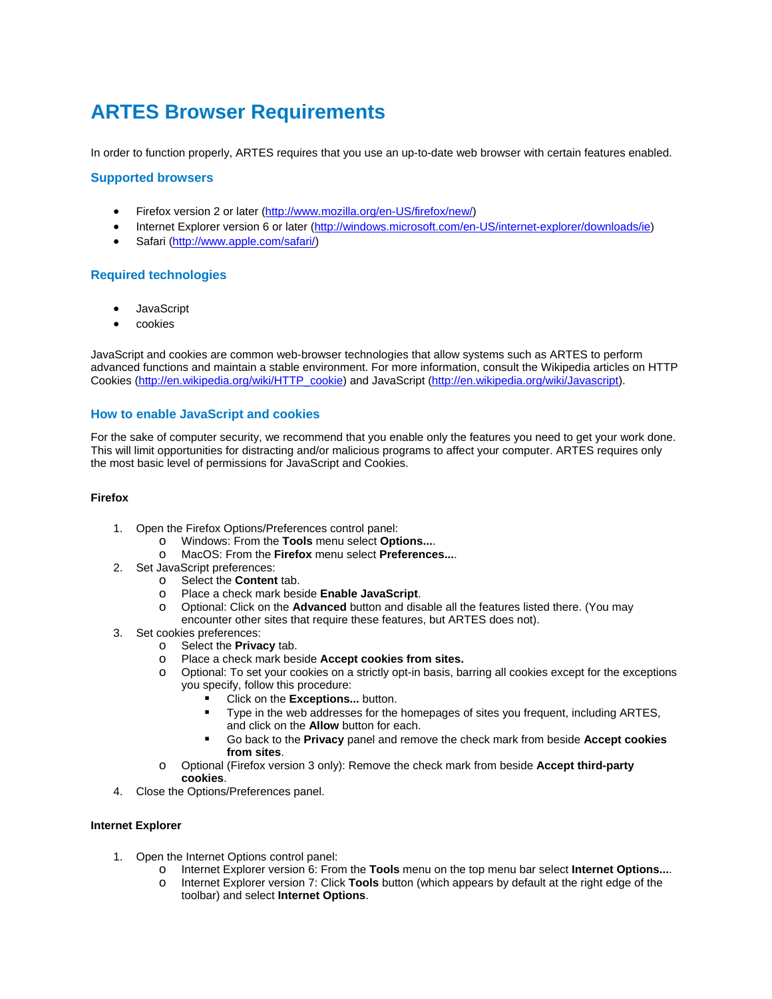# **ARTES Browser Requirements**

In order to function properly, ARTES requires that you use an up-to-date web browser with certain features enabled.

# **Supported browsers**

- Firefox version 2 or later (http://www.mozilla.org/en-US/firefox/new/)
- Internet Explorer version 6 or later (http://windows.microsoft.com/en-US/internet-explorer/downloads/ie)
- Safari (http://www.apple.com/safari/)

# **Required technologies**

- **JavaScript**
- cookies

JavaScript and cookies are common web-browser technologies that allow systems such as ARTES to perform advanced functions and maintain a stable environment. For more information, consult the Wikipedia articles on HTTP Cookies (http://en.wikipedia.org/wiki/HTTP\_cookie) and JavaScript (http://en.wikipedia.org/wiki/Javascript).

# **How to enable JavaScript and cookies**

For the sake of computer security, we recommend that you enable only the features you need to get your work done. This will limit opportunities for distracting and/or malicious programs to affect your computer. ARTES requires only the most basic level of permissions for JavaScript and Cookies.

#### **Firefox**

- 1. Open the Firefox Options/Preferences control panel:
	- o Windows: From the **Tools** menu select **Options...**.
	- o MacOS: From the **Firefox** menu select **Preferences...**.
- 2. Set JavaScript preferences:
	- o Select the **Content** tab.
	- o Place a check mark beside **Enable JavaScript**.
	- o Optional: Click on the **Advanced** button and disable all the features listed there. (You may encounter other sites that require these features, but ARTES does not).
- 3. Set cookies preferences:
	- o Select the **Privacy** tab.
	- o Place a check mark beside **Accept cookies from sites.**
	- o Optional: To set your cookies on a strictly opt-in basis, barring all cookies except for the exceptions you specify, follow this procedure:
		- Click on the **Exceptions...** button.
		- **Type in the web addresses for the homepages of sites you frequent, including ARTES,** and click on the **Allow** button for each.
		- Go back to the **Privacy** panel and remove the check mark from beside **Accept cookies from sites**.
	- o Optional (Firefox version 3 only): Remove the check mark from beside **Accept third-party cookies**.
- 4. Close the Options/Preferences panel.

# **Internet Explorer**

- 1. Open the Internet Options control panel:
	- o Internet Explorer version 6: From the **Tools** menu on the top menu bar select **Internet Options...**.
	- o Internet Explorer version 7: Click **Tools** button (which appears by default at the right edge of the toolbar) and select **Internet Options**.